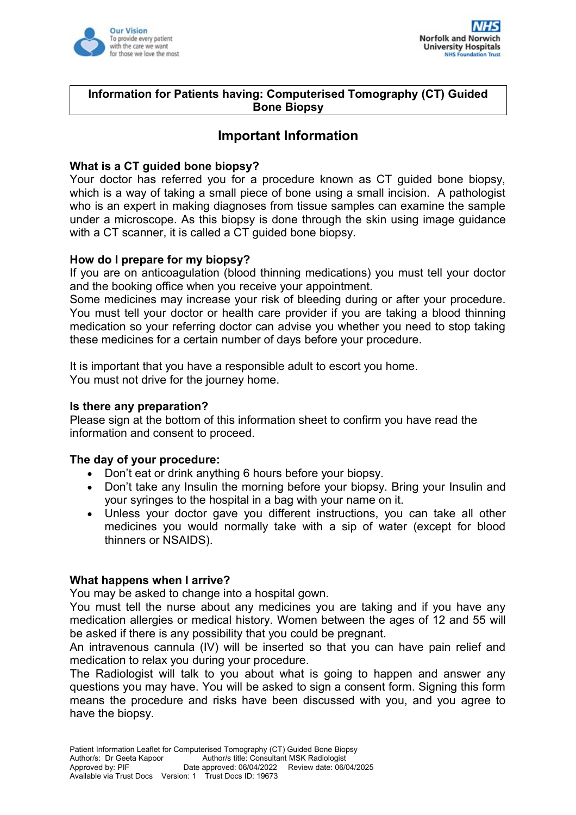



## **Information for Patients having: Computerised Tomography (CT) Guided Bone Biopsy**

# **Important Information**

## **What is a CT guided bone biopsy?**

Your doctor has referred you for a procedure known as CT guided bone biopsy, which is a way of taking a small piece of bone using a small incision. A pathologist who is an expert in making diagnoses from tissue samples can examine the sample under a microscope. As this biopsy is done through the skin using image guidance with a CT scanner, it is called a CT guided bone biopsy.

## **How do I prepare for my biopsy?**

If you are on anticoagulation (blood thinning medications) you must tell your doctor and the booking office when you receive your appointment.

Some medicines may increase your risk of bleeding during or after your procedure. You must tell your doctor or health care provider if you are taking a blood thinning medication so your referring doctor can advise you whether you need to stop taking these medicines for a certain number of days before your procedure.

It is important that you have a responsible adult to escort you home. You must not drive for the journey home.

#### **Is there any preparation?**

Please sign at the bottom of this information sheet to confirm you have read the information and consent to proceed.

## **The day of your procedure:**

- Don't eat or drink anything 6 hours before your biopsy.
- Don't take any Insulin the morning before your biopsy. Bring your Insulin and your syringes to the hospital in a bag with your name on it.
- Unless your doctor gave you different instructions, you can take all other medicines you would normally take with a sip of water (except for blood thinners or NSAIDS).

## **What happens when I arrive?**

You may be asked to change into a hospital gown.

You must tell the nurse about any medicines you are taking and if you have any medication allergies or medical history. Women between the ages of 12 and 55 will be asked if there is any possibility that you could be pregnant.

An intravenous cannula (IV) will be inserted so that you can have pain relief and medication to relax you during your procedure.

The Radiologist will talk to you about what is going to happen and answer any questions you may have. You will be asked to sign a consent form. Signing this form means the procedure and risks have been discussed with you, and you agree to have the biopsy.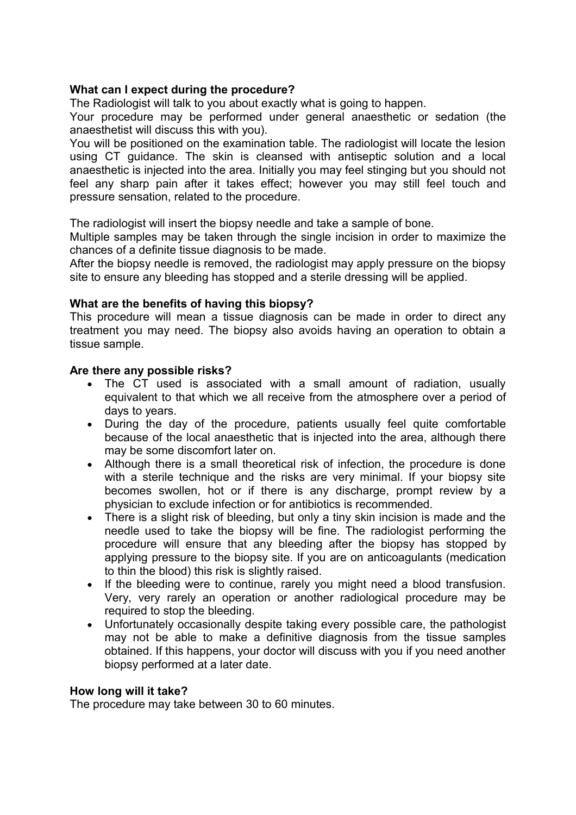# **What can I expect during the procedure?**

The Radiologist will talk to you about exactly what is going to happen.

Your procedure may be performed under general anaesthetic or sedation (the anaesthetist will discuss this with you).

You will be positioned on the examination table. The radiologist will locate the lesion using CT guidance. The skin is cleansed with antiseptic solution and a local anaesthetic is injected into the area. Initially you may feel stinging but you should not feel any sharp pain after it takes effect; however you may still feel touch and pressure sensation, related to the procedure.

The radiologist will insert the biopsy needle and take a sample of bone.

Multiple samples may be taken through the single incision in order to maximize the chances of a definite tissue diagnosis to be made.

After the biopsy needle is removed, the radiologist may apply pressure on the biopsy site to ensure any bleeding has stopped and a sterile dressing will be applied.

# **What are the benefits of having this biopsy?**

This procedure will mean a tissue diagnosis can be made in order to direct any treatment you may need. The biopsy also avoids having an operation to obtain a tissue sample.

## **Are there any possible risks?**

- The CT used is associated with a small amount of radiation, usually equivalent to that which we all receive from the atmosphere over a period of days to years.
- During the day of the procedure, patients usually feel quite comfortable because of the local anaesthetic that is injected into the area, although there may be some discomfort later on.
- Although there is a small theoretical risk of infection, the procedure is done with a sterile technique and the risks are very minimal. If your biopsy site becomes swollen, hot or if there is any discharge, prompt review by a physician to exclude infection or for antibiotics is recommended.
- There is a slight risk of bleeding, but only a tiny skin incision is made and the needle used to take the biopsy will be fine. The radiologist performing the procedure will ensure that any bleeding after the biopsy has stopped by applying pressure to the biopsy site. If you are on anticoagulants (medication to thin the blood) this risk is slightly raised.
- If the bleeding were to continue, rarely you might need a blood transfusion. Very, very rarely an operation or another radiological procedure may be required to stop the bleeding.
- Unfortunately occasionally despite taking every possible care, the pathologist may not be able to make a definitive diagnosis from the tissue samples obtained. If this happens, your doctor will discuss with you if you need another biopsy performed at a later date.

## **How long will it take?**

The procedure may take between 30 to 60 minutes.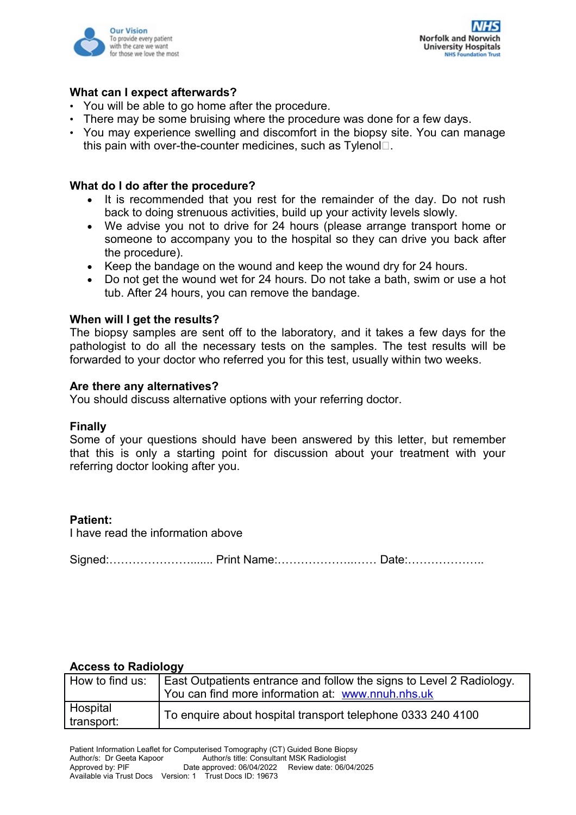



#### **What can I expect afterwards?**

- You will be able to go home after the procedure.
- There may be some bruising where the procedure was done for a few days.
- You may experience swelling and discomfort in the biopsy site. You can manage this pain with over-the-counter medicines, such as  $T$ vlenol $\Box$ .

#### **What do I do after the procedure?**

- It is recommended that you rest for the remainder of the day. Do not rush back to doing strenuous activities, build up your activity levels slowly.
- We advise you not to drive for 24 hours (please arrange transport home or someone to accompany you to the hospital so they can drive you back after the procedure).
- Keep the bandage on the wound and keep the wound dry for 24 hours.
- Do not get the wound wet for 24 hours. Do not take a bath, swim or use a hot tub. After 24 hours, you can remove the bandage.

#### **When will I get the results?**

The biopsy samples are sent off to the laboratory, and it takes a few days for the pathologist to do all the necessary tests on the samples. The test results will be forwarded to your doctor who referred you for this test, usually within two weeks.

#### **Are there any alternatives?**

You should discuss alternative options with your referring doctor.

#### **Finally**

Some of your questions should have been answered by this letter, but remember that this is only a starting point for discussion about your treatment with your referring doctor looking after you.

## **Patient:**

I have read the information above

Signed:…………………....... Print Name:………………..…… Date:………………..

#### **Access to Radiology**

| How to find us: | East Outpatients entrance and follow the signs to Level 2 Radiology. |
|-----------------|----------------------------------------------------------------------|
|                 | You can find more information at: www.nnuh.nhs.uk                    |
| Hospital        | To enquire about hospital transport telephone 0333 240 4100          |
| transport:      |                                                                      |
|                 |                                                                      |